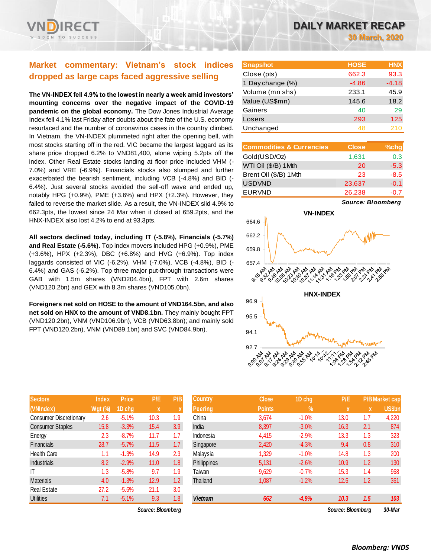

# **Market commentary: Vietnam's stock indices dropped as large caps faced aggressive selling**

**The VN-INDEX fell 4.9% to the lowest in nearly a week amid investors' mounting concerns over the negative impact of the COVID-19 pandemic on the global economy.** The Dow Jones Industrial Average Index fell 4.1% last Friday after doubts about the fate of the U.S. economy resurfaced and the number of coronavirus cases in the country climbed. In Vietnam, the VN-INDEX plummeted right after the opening bell, with most stocks starting off in the red. VIC became the largest laggard as its share price dropped 6.2% to VND81,400, alone wiping 5.2pts off the index. Other Real Estate stocks landing at floor price included VHM (- 7.0%) and VRE (-6.9%). Financials stocks also slumped and further exacerbated the bearish sentiment, including VCB (-4.8%) and BID (- 6.4%). Just several stocks avoided the sell-off wave and ended up, notably HPG (+0.9%), PME (+3.6%) and HPX (+2.3%). However, they failed to reverse the market slide. As a result, the VN-INDEX slid 4.9% to 662.3pts, the lowest since 24 Mar when it closed at 659.2pts, and the HNX-INDEX also lost 4.2% to end at 93.3pts.

**All sectors declined today, including IT (-5.8%), Financials (-5.7%) and Real Estate (-5.6%).** Top index movers included HPG (+0.9%), PME (+3.6%), HPX (+2.3%), DBC (+6.8%) and HVG (+6.9%). Top index laggards consisted of VIC (-6.2%), VHM (-7.0%), VCB (-4.8%), BID (- 6.4%) and GAS (-6.2%). Top three major put-through transactions were GAB with 1.5m shares (VND204.4bn), FPT with 2.6m shares (VND120.2bn) and GEX with 8.3m shares (VND105.0bn).

**Foreigners net sold on HOSE to the amount of VND164.5bn, and also net sold on HNX to the amount of VND8.1bn.** They mainly bought FPT (VND120.2bn), VNM (VND106.9bn), VCB (VND63.8bn); and mainly sold FPT (VND120.2bn), VNM (VND89.1bn) and SVC (VND84.9bn).

| <b>Sectors</b>                | <b>Index</b> | Price   | P/E  | P/B |
|-------------------------------|--------------|---------|------|-----|
| (VNIndex)                     | $Wgt$ (%)    | 1D chg  | X    | X   |
| <b>Consumer Discretionary</b> | 2.6          | $-5.1%$ | 10.3 | 1.9 |
| <b>Consumer Staples</b>       | 15.8         | $-3.3%$ | 15.4 | 3.9 |
| Energy                        | 2.3          | $-8.7%$ | 11.7 | 1.7 |
| <b>Financials</b>             | 28.7         | $-5.7%$ | 11.5 | 1.7 |
| <b>Health Care</b>            | 1.1          | $-1.3%$ | 14.9 | 2.3 |
| <b>Industrials</b>            | 8.2          | $-2.9%$ | 11.0 | 1.8 |
| ıτ                            | 1.3          | $-5.8%$ | 9.7  | 1.9 |
| <b>Materials</b>              | 4.0          | $-1.3%$ | 12.9 | 1.2 |
| <b>Real Estate</b>            | 27.2         | $-5.6%$ | 21.1 | 3.0 |
| <b>Utilities</b>              | 7.1          | $-5.1%$ | 9.3  | 1.8 |

*Source: Bloomberg Source: Bloomberg 30-Mar*

| <b>Snapshot</b>  | <b>HOSE</b> | <b>HNX</b> |
|------------------|-------------|------------|
| Close (pts)      | 662.3       | 93.3       |
| 1 Day change (%) | $-4.86$     | $-4.18$    |
| Volume (mn shs)  | 233.1       | 45.9       |
| Value (US\$mn)   | 145.6       | 18.2       |
| Gainers          | 40          | 29         |
| Losers           | 293         | 125        |
| Unchanged        | 48          | 210        |

| <b>Commodities &amp; Currencies</b> | <b>Close</b> | $%$ chg |
|-------------------------------------|--------------|---------|
| Gold(USD/Oz)                        | 1,631        | 0.3     |
| WTI Oil (\$/B) 1 Mth                | 20           | $-5.3$  |
| Brent Oil (\$/B) 1Mth               | 23           | $-8.5$  |
| <b>USDVND</b>                       | 23,637       | $-0.1$  |
| <b>EURVND</b>                       | 26,238       | $-0.7$  |

*Source: Bloomberg*



| <b>Sectors</b>          | <b>Index</b>   | <b>Price</b> | P/E         | P/B              | <b>Country</b> | <b>Close</b>  | 1D chg        | P/E               |     | <b>P/B Market cap</b> |
|-------------------------|----------------|--------------|-------------|------------------|----------------|---------------|---------------|-------------------|-----|-----------------------|
| (VNIndex)               | <b>Wgt (%)</b> | 1D chg       | $\mathbf x$ |                  | <b>Peering</b> | <b>Points</b> | $\frac{9}{6}$ | <b>X</b>          | X   | <b>US\$bn</b>         |
| Consumer Discretionary  | 2.6            | $-5.1%$      | 10.3        | 1.9              | China          | 3,674         | $-1.0%$       | 13.0              | 1.7 | 4,220                 |
| <b>Consumer Staples</b> | 15.8           | $-3.3%$      | 15.4        | 3.9              | India          | 8,397         | $-3.0%$       | 16.3              | 2.1 | 874                   |
| Energy                  | 2.3            | $-8.7%$      | 11.7        | 1.7              | Indonesia      | 4,415         | $-2.9%$       | 13.3              | 1.3 | 323                   |
| Financials              | 28.7           | $-5.7%$      | 11.5        | $1.7^{\circ}$    | Singapore      | 2,420         | $-4.3%$       | 9.4               | 0.8 | 310                   |
| Health Care             | 1.1            | $-1.3%$      | 14.9        | 2.3              | Malaysia       | 1,329         | $-1.0%$       | 14.8              | 1.3 | 200                   |
| <b>Industrials</b>      | 8.2            | $-2.9%$      | 11.0        | 1.8 <sup>°</sup> | Philippines    | 5,131         | $-2.6%$       | 10.9              | 1.2 | 130                   |
| ΙT                      | 1.3            | $-5.8%$      | 9.7         | 1.9              | Taiwan         | 9,629         | $-0.7%$       | 15.3              | 1.4 | 968                   |
| <b>Materials</b>        | 4.0            | $-1.3%$      | 12.9        | 1.2              | Thailand       | 1,087         | $-1.2%$       | 12.6              | 1.2 | 361                   |
| Real Estate             | 27.2           | $-5.6%$      | 21.1        | 3.0              |                |               |               |                   |     |                       |
| <b>Utilities</b>        | 7.1            | $-5.1%$      | 9.3         | 1.8              | <b>Vietnam</b> | 662           | $-4.9%$       | 10.3              | 1.5 | 103                   |
| Source: Bloomberg       |                |              |             |                  |                |               |               | Source: Bloombera |     | 30-Mar                |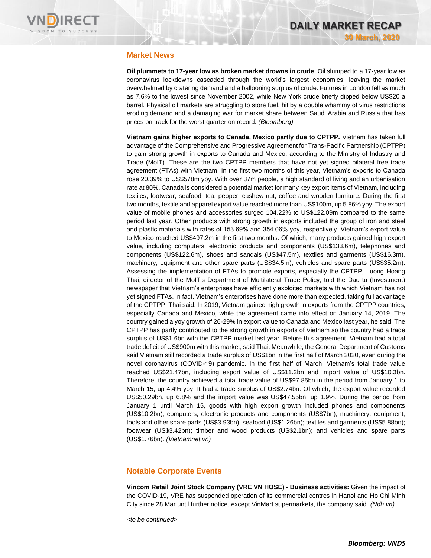

### **Market News**

**Oil plummets to 17-year low as broken market drowns in crude**. Oil slumped to a 17-year low as coronavirus lockdowns cascaded through the world's largest economies, leaving the market overwhelmed by cratering demand and a ballooning surplus of crude. Futures in London fell as much as 7.6% to the lowest since November 2002, while New York crude briefly dipped below US\$20 a barrel. Physical oil markets are struggling to store fuel, hit by a double whammy of virus restrictions eroding demand and a damaging war for market share between Saudi Arabia and Russia that has prices on track for the worst quarter on record. *(Bloomberg)*

**Vietnam gains higher exports to Canada, Mexico partly due to CPTPP.** Vietnam has taken full advantage of the Comprehensive and Progressive Agreement for Trans-Pacific Partnership (CPTPP) to gain strong growth in exports to Canada and Mexico, according to the Ministry of Industry and Trade (MoIT). These are the two CPTPP members that have not yet signed bilateral free trade agreement (FTAs) with Vietnam. In the first two months of this year, Vietnam's exports to Canada rose 20.39% to US\$578m yoy. With over 37m people, a high standard of living and an urbanisation rate at 80%, Canada is considered a potential market for many key export items of Vietnam, including textiles, footwear, seafood, tea, pepper, cashew nut, coffee and wooden furniture. During the first two months, textile and apparel export value reached more than US\$100m, up 5.86% yoy. The export value of mobile phones and accessories surged 104.22% to US\$122.09m compared to the same period last year. Other products with strong growth in exports included the group of iron and steel and plastic materials with rates of 153.69% and 354.06% yoy, respectively. Vietnam's export value to Mexico reached US\$497.2m in the first two months. Of which, many products gained high export value, including computers, electronic products and components (US\$133.6m), telephones and components (US\$122.6m), shoes and sandals (US\$47.5m), textiles and garments (US\$16.3m), machinery, equipment and other spare parts (US\$34.5m), vehicles and spare parts (US\$35.2m). Assessing the implementation of FTAs to promote exports, especially the CPTPP, Luong Hoang Thai, director of the MoIT's Department of Multilateral Trade Policy, told the Dau tu (Investment) newspaper that Vietnam's enterprises have efficiently exploited markets with which Vietnam has not yet signed FTAs. In fact, Vietnam's enterprises have done more than expected, taking full advantage of the CPTPP, Thai said. In 2019, Vietnam gained high growth in exports from the CPTPP countries, especially Canada and Mexico, while the agreement came into effect on January 14, 2019. The country gained a yoy growth of 26-29% in export value to Canada and Mexico last year, he said. The CPTPP has partly contributed to the strong growth in exports of Vietnam so the country had a trade surplus of US\$1.6bn with the CPTPP market last year. Before this agreement, Vietnam had a total trade deficit of US\$900m with this market, said Thai. Meanwhile, the General Department of Customs said Vietnam still recorded a trade surplus of US\$1bn in the first half of March 2020, even during the novel coronavirus (COVID-19) pandemic. In the first half of March, Vietnam's total trade value reached US\$21.47bn, including export value of US\$11.2bn and import value of US\$10.3bn. Therefore, the country achieved a total trade value of US\$97.85bn in the period from January 1 to March 15, up 4.4% yoy. It had a trade surplus of US\$2.74bn. Of which, the export value recorded US\$50.29bn, up 6.8% and the import value was US\$47.55bn, up 1.9%. During the period from January 1 until March 15, goods with high export growth included phones and components (US\$10.2bn); computers, electronic products and components (US\$7bn); machinery, equipment, tools and other spare parts (US\$3.93bn); seafood (US\$1.26bn); textiles and garments (US\$5.88bn); footwear (US\$3.42bn); timber and wood products (US\$2.1bn); and vehicles and spare parts (US\$1.76bn). *(Vietnamnet.vn)*

#### **Notable Corporate Events**

**Vincom Retail Joint Stock Company (VRE VN HOSE) - Business activities:** Given the impact of the COVID-19**,** VRE has suspended operation of its commercial centres in Hanoi and Ho Chi Minh City since 28 Mar until further notice, except VinMart supermarkets, the company said. *(Ndh.vn)*

*<to be continued>*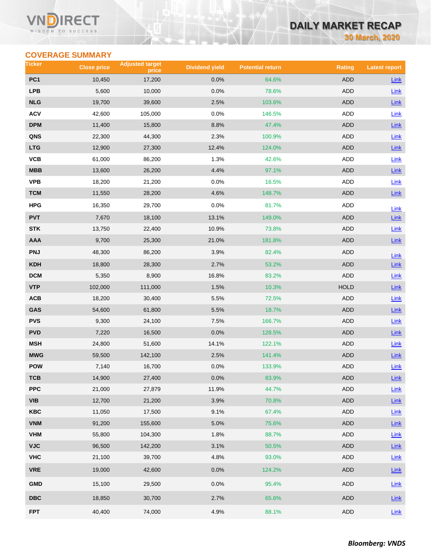#### VI RECT WISDOM TO SUCCESS

# **DAILY MARKET RECAP**

**30 March, 2020**

## **COVERAGE SUMMARY**

| Ticker                  | <b>Close price</b> | <b>Adjusted target</b><br>price | <b>Dividend yield</b> | <b>Potential return</b> | <b>Rating</b> | <b>Latest report</b> |
|-------------------------|--------------------|---------------------------------|-----------------------|-------------------------|---------------|----------------------|
| PC <sub>1</sub>         | 10,450             | 17,200                          | 0.0%                  | 64.6%                   | <b>ADD</b>    | <b>Link</b>          |
| <b>LPB</b>              | 5,600              | 10,000                          | 0.0%                  | 78.6%                   | <b>ADD</b>    | Link                 |
| <b>NLG</b>              | 19,700             | 39,600                          | 2.5%                  | 103.6%                  | <b>ADD</b>    | Link                 |
| <b>ACV</b>              | 42,600             | 105,000                         | 0.0%                  | 146.5%                  | <b>ADD</b>    | Link                 |
| <b>DPM</b>              | 11,400             | 15,800                          | 8.8%                  | 47.4%                   | <b>ADD</b>    | Link                 |
| QNS                     | 22,300             | 44,300                          | 2.3%                  | 100.9%                  | ADD           | Link                 |
| <b>LTG</b>              | 12,900             | 27,300                          | 12.4%                 | 124.0%                  | <b>ADD</b>    | Link                 |
| VCB                     | 61,000             | 86,200                          | 1.3%                  | 42.6%                   | ADD           | <b>Link</b>          |
| <b>MBB</b>              | 13,600             | 26,200                          | 4.4%                  | 97.1%                   | <b>ADD</b>    | Link                 |
| <b>VPB</b>              | 18,200             | 21,200                          | 0.0%                  | 16.5%                   | ADD           | Link                 |
| <b>TCM</b>              | 11,550             | 28,200                          | 4.6%                  | 148.7%                  | <b>ADD</b>    | Link                 |
| HPG                     | 16,350             | 29,700                          | 0.0%                  | 81.7%                   | ADD           | Link                 |
| <b>PVT</b>              | 7,670              | 18,100                          | 13.1%                 | 149.0%                  | <b>ADD</b>    | Link                 |
| <b>STK</b>              | 13,750             | 22,400                          | 10.9%                 | 73.8%                   | ADD           | Link                 |
| AAA                     | 9,700              | 25,300                          | 21.0%                 | 181.8%                  | <b>ADD</b>    | Link                 |
| <b>PNJ</b>              | 48,300             | 86,200                          | 3.9%                  | 82.4%                   | <b>ADD</b>    | Link                 |
| <b>KDH</b>              | 18,800             | 28,300                          | 2.7%                  | 53.2%                   | <b>ADD</b>    | Link                 |
| <b>DCM</b>              | 5,350              | 8,900                           | 16.8%                 | 83.2%                   | <b>ADD</b>    | Link                 |
| <b>VTP</b>              | 102,000            | 111,000                         | 1.5%                  | 10.3%                   | <b>HOLD</b>   | $Link$               |
| ACB                     | 18,200             | 30,400                          | 5.5%                  | 72.5%                   | ADD           | Link                 |
| GAS                     | 54,600             | 61,800                          | 5.5%                  | 18.7%                   | <b>ADD</b>    | Link                 |
| <b>PVS</b>              | 9,300              | 24,100                          | 7.5%                  | 166.7%                  | <b>ADD</b>    | Link                 |
| <b>PVD</b>              | 7,220              | 16,500                          | 0.0%                  | 128.5%                  | <b>ADD</b>    | Link                 |
| <b>MSH</b>              | 24,800             | 51,600                          | 14.1%                 | 122.1%                  | ADD           | Link                 |
| <b>MWG</b>              | 59,500             | 142,100                         | 2.5%                  | 141.4%                  | <b>ADD</b>    | Link                 |
| <b>POW</b>              | 7,140              | 16,700                          | 0.0%                  | 133.9%                  | <b>ADD</b>    | Link                 |
| TCB                     | 14,900             | 27,400                          | 0.0%                  | 83.9%                   | <b>ADD</b>    | $Link$               |
| <b>PPC</b>              | 21,000             | 27,879                          | 11.9%                 | 44.7%                   | <b>ADD</b>    | Link                 |
| <b>VIB</b>              | 12,700             | 21,200                          | 3.9%                  | 70.8%                   | ADD           | $Link$               |
| <b>KBC</b>              | 11,050             | 17,500                          | 9.1%                  | 67.4%                   | ADD           | Link                 |
| <b>VNM</b>              | 91,200             | 155,600                         | 5.0%                  | 75.6%                   | ADD           | Link                 |
| <b>VHM</b>              | 55,800             | 104,300                         | 1.8%                  | 88.7%                   | ADD           | Link                 |
| <b>VJC</b>              | 96,500             | 142,200                         | 3.1%                  | 50.5%                   | ADD           | Link                 |
| <b>VHC</b>              | 21,100             | 39,700                          | 4.8%                  | 93.0%                   | ADD           | Link                 |
| <b>VRE</b>              | 19,000             | 42,600                          | 0.0%                  | 124.2%                  | <b>ADD</b>    | $Link$               |
| <b>GMD</b>              | 15,100             | 29,500                          | 0.0%                  | 95.4%                   | ADD           | Link                 |
| $\overline{\text{DBC}}$ | 18,850             | 30,700                          | 2.7%                  | 65.6%                   | ADD           | $Link$               |
| <b>FPT</b>              | 40,400             | 74,000                          | 4.9%                  | 88.1%                   | ADD           | Link                 |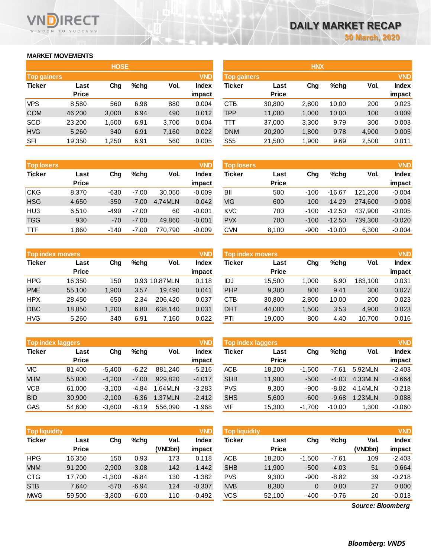## **MARKET MOVEMENTS**

WISDOM TO SUCCESS

**RECT** 

VND

| <b>HOSE</b>        |        |       |      |       |              |  |  |  |  |  |
|--------------------|--------|-------|------|-------|--------------|--|--|--|--|--|
| <b>Top gainers</b> |        |       |      |       | <b>VND</b>   |  |  |  |  |  |
| <b>Ticker</b>      | Last   | Cha   | %chq | Vol.  | <b>Index</b> |  |  |  |  |  |
|                    | Price  |       |      |       | impact       |  |  |  |  |  |
| <b>VPS</b>         | 8,580  | 560   | 6.98 | 880   | 0.004        |  |  |  |  |  |
| <b>COM</b>         | 46,200 | 3,000 | 6.94 | 490   | 0.012        |  |  |  |  |  |
| <b>SCD</b>         | 23,200 | 1,500 | 6.91 | 3,700 | 0.004        |  |  |  |  |  |
| <b>HVG</b>         | 5,260  | 340   | 6.91 | 7,160 | 0.022        |  |  |  |  |  |
| SFI                | 19,350 | 1,250 | 6.91 | 560   | 0.005        |  |  |  |  |  |

| <b>Top losers</b> |              |        |         |         | <b>VND</b>   |
|-------------------|--------------|--------|---------|---------|--------------|
| <b>Ticker</b>     | Last         | Cha    | %chq    | Vol.    | <b>Index</b> |
|                   | <b>Price</b> |        |         |         | impact       |
| <b>CKG</b>        | 8,370        | $-630$ | $-7.00$ | 30,050  | $-0.009$     |
| <b>HSG</b>        | 4,650        | $-350$ | $-7.00$ | 4.74MLN | $-0.042$     |
| HU <sub>3</sub>   | 6,510        | -490   | $-7.00$ | 60      | $-0.001$     |
| <b>TGG</b>        | 930          | $-70$  | $-7.00$ | 49,860  | $-0.001$     |
| <b>TTF</b>        | 1,860        | $-140$ | $-7.00$ | 770.790 | $-0.009$     |

|               | <b>Top index movers</b> |       |      |               |              |  |  |  |  |
|---------------|-------------------------|-------|------|---------------|--------------|--|--|--|--|
| <b>Ticker</b> | Last                    | Cha   | %chq | Vol.          | <b>Index</b> |  |  |  |  |
|               | <b>Price</b>            |       |      |               | impact       |  |  |  |  |
| <b>HPG</b>    | 16,350                  | 150   |      | 0.93 10.87MLN | 0.118        |  |  |  |  |
| <b>PME</b>    | 55,100                  | 1,900 | 3.57 | 19.490        | 0.041        |  |  |  |  |
| <b>HPX</b>    | 28,450                  | 650   | 2.34 | 206.420       | 0.037        |  |  |  |  |
| <b>DBC</b>    | 18,850                  | 1,200 | 6.80 | 638,140       | 0.031        |  |  |  |  |
| <b>HVG</b>    | 5,260                   | 340   | 6.91 | 7,160         | 0.022        |  |  |  |  |

|               | <b>Top index laggers</b> |          |         |         |              |  |  |  |  |  |
|---------------|--------------------------|----------|---------|---------|--------------|--|--|--|--|--|
| <b>Ticker</b> | Last                     | Cha      | %chq    | Vol.    | <b>Index</b> |  |  |  |  |  |
|               | <b>Price</b>             |          |         |         | impact       |  |  |  |  |  |
| VIC           | 81,400                   | $-5,400$ | $-6.22$ | 881.240 | $-5.216$     |  |  |  |  |  |
| <b>VHM</b>    | 55,800                   | $-4,200$ | $-7.00$ | 929,820 | $-4.017$     |  |  |  |  |  |
| <b>VCB</b>    | 61,000                   | $-3,100$ | -4.84   | 1.64MLN | $-3.283$     |  |  |  |  |  |
| <b>BID</b>    | 30,900                   | $-2,100$ | $-6.36$ | 1.37MLN | $-2.412$     |  |  |  |  |  |
| <b>GAS</b>    | 54.600                   | $-3,600$ | $-6.19$ | 556.090 | $-1.968$     |  |  |  |  |  |

| <b>VND</b><br><b>Top liquidity</b> |              |          |         |         |              |  |  |  |  |  |
|------------------------------------|--------------|----------|---------|---------|--------------|--|--|--|--|--|
| <b>Ticker</b>                      | Last         | Cha      | %chq    | Val.    | <b>Index</b> |  |  |  |  |  |
|                                    | <b>Price</b> |          |         | (VNDbn) | impact       |  |  |  |  |  |
| <b>HPG</b>                         | 16,350       | 150      | 0.93    | 173     | 0.118        |  |  |  |  |  |
| <b>VNM</b>                         | 91,200       | $-2.900$ | $-3.08$ | 142     | $-1.442$     |  |  |  |  |  |
| <b>CTG</b>                         | 17,700       | $-1,300$ | $-6.84$ | 130     | $-1.382$     |  |  |  |  |  |
| <b>STB</b>                         | 7.640        | $-570$   | $-6.94$ | 124     | $-0.307$     |  |  |  |  |  |
| <b>MWG</b>                         | 59.500       | $-3.800$ | $-6.00$ | 110     | $-0.492$     |  |  |  |  |  |

|                    |              | <b>HOSE</b> |         |       |              |                    |              | <b>HNX</b> |         |       |            |
|--------------------|--------------|-------------|---------|-------|--------------|--------------------|--------------|------------|---------|-------|------------|
| <b>Top gainers</b> |              |             |         |       | <b>VND</b>   | <b>Top gainers</b> |              |            |         |       | <b>VND</b> |
| Ticker             | Last         | Chg         | $%$ chg | Vol.  | <b>Index</b> | Ticker             | Last         | Chg        | $%$ chg | Vol.  | Index      |
|                    | <b>Price</b> |             |         |       | impact       |                    | <b>Price</b> |            |         |       | impact     |
| VPS                | 8,580        | 560         | 6.98    | 880   | 0.004        | <b>CTB</b>         | 30,800       | 2,800      | 10.00   | 200   | 0.023      |
| <b>COM</b>         | 46.200       | 3,000       | 6.94    | 490   | 0.012        | TPP                | 11,000       | 1,000      | 10.00   | 100   | 0.009      |
| SCD                | 23,200       | 1,500       | 6.91    | 3,700 | 0.004        | Ш                  | 37,000       | 3,300      | 9.79    | 300   | 0.003      |
| <b>HVG</b>         | 5,260        | 340         | 6.91    | 7,160 | 0.022        | <b>DNM</b>         | 20,200       | 1,800      | 9.78    | 4,900 | 0.005      |
| SFI                | 19,350       | 1,250       | 6.91    | 560   | 0.005        | S <sub>55</sub>    | 21,500       | 1,900      | 9.69    | 2,500 | 0.011      |
|                    |              |             |         |       |              |                    |              |            |         |       |            |

| <b>Top losers</b> |                      |        |         |         | <b>VND</b>             | <b>Top losers</b> |                      |        |          |         | <b>VND</b>             |
|-------------------|----------------------|--------|---------|---------|------------------------|-------------------|----------------------|--------|----------|---------|------------------------|
| Ticker            | Last<br><b>Price</b> | Chg    | $%$ chq | Vol.    | <b>Index</b><br>impact | Ticker            | Last<br><b>Price</b> | Chg    | $%$ chg  | Vol.    | <b>Index</b><br>impact |
| CKG               | 8.370                | $-630$ | $-7.00$ | 30.050  | $-0.009$               | BII               | 500                  | $-100$ | $-16.67$ | 121.200 | $-0.004$               |
| <b>HSG</b>        | 4,650                | $-350$ | $-7.00$ | 4.74MLN | $-0.042$               | VIG               | 600                  | $-100$ | $-14.29$ | 274.600 | $-0.003$               |
| HU3               | 6.510                | -490   | $-7.00$ | 60      | $-0.001$               | <b>KVC</b>        | 700                  | $-100$ | $-12.50$ | 437.900 | $-0.005$               |
| <b>TGG</b>        | 930                  | $-70$  | $-7.00$ | 49.860  | $-0.001$               | <b>PVX</b>        | 700                  | $-100$ | $-12.50$ | 739.300 | $-0.020$               |
| TTF               | .860                 | $-140$ | $-7.00$ | 770.790 | $-0.009$               | <b>CVN</b>        | 8,100                | $-900$ | $-10.00$ | 6,300   | $-0.004$               |

| <b>Top index movers</b> |              |       |      |               | <b>VND</b>   | Top index movers |              |       |         |         | <b>VND</b>   |
|-------------------------|--------------|-------|------|---------------|--------------|------------------|--------------|-------|---------|---------|--------------|
| Ticker                  | Last         | Chg   | %chq | Vol.          | <b>Index</b> | Ticker           | Last         | Chg   | $%$ chg | Vol.    | <b>Index</b> |
|                         | <b>Price</b> |       |      |               | impact       |                  | <b>Price</b> |       |         |         | impact       |
| HPG                     | 16.350       | 150   |      | 0.93 10.87MLN | 0.118        | IDJ              | 15.500       | 1.000 | 6.90    | 183.100 | 0.031        |
| <b>PME</b>              | 55.100       | 1.900 | 3.57 | 19.490        | 0.041        | PHP              | 9,300        | 800   | 9.41    | 300     | 0.027        |
| HPX                     | 28.450       | 650   | 2.34 | 206,420       | 0.037        | CTB              | 30,800       | 2,800 | 10.00   | 200     | 0.023        |
| <b>DBC</b>              | 18.850       | 1.200 | 6.80 | 638.140       | 0.031        | <b>DHT</b>       | 44.000       | 1.500 | 3.53    | 4,900   | 0.023        |
| HVG                     | 5,260        | 340   | 6.91 | 7,160         | 0.022        | PTI              | 19,000       | 800   | 4.40    | 10,700  | 0.016        |
|                         |              |       |      |               |              |                  |              |       |         |         |              |

|            | <b>Top index laggers</b> |          |         |         |                 |            | Top index laggers    |          |          |         |                        |  |
|------------|--------------------------|----------|---------|---------|-----------------|------------|----------------------|----------|----------|---------|------------------------|--|
| Ticker     | Last<br><b>Price</b>     | Cha      | $%$ chg | Vol.    | Index<br>impact | Ticker     | Last<br><b>Price</b> | Chg      | $%$ chg  | Vol.    | <b>Index</b><br>impact |  |
| VIC        | 81.400                   | $-5.400$ | $-6.22$ | 881.240 | $-5.216$        | <b>ACB</b> | 18.200               | $-1.500$ | $-7.61$  | 5.92MLN | $-2.403$               |  |
| <b>VHM</b> | 55,800                   | $-4.200$ | $-7.00$ | 929.820 | $-4.017$        | <b>SHB</b> | 11,900               | $-500$   | $-4.03$  | 4.33MLN | $-0.664$               |  |
| VCB        | 61.000                   | $-3.100$ | -4.84   | 1.64MLN | $-3.283$        | <b>PVS</b> | 9,300                | $-900$   | $-8.82$  | 4.14MLN | $-0.218$               |  |
| <b>BID</b> | 30.900                   | $-2.100$ | $-6.36$ | 1.37MLN | $-2.412$        | <b>SHS</b> | 5,600                | $-600$   | $-9.68$  | 1.23MLN | $-0.088$               |  |
| GAS        | 54.600                   | $-3,600$ | $-6.19$ | 556.090 | $-1.968$        | VIF        | 15,300               | $-1.700$ | $-10.00$ | 1.300   | $-0.060$               |  |

| <b>Top liquidity</b> |              |          |         |         | <b>VND</b>   | <b>Top liquidity</b> |              |          |         |                   | <b>VND</b>   |
|----------------------|--------------|----------|---------|---------|--------------|----------------------|--------------|----------|---------|-------------------|--------------|
| Ticker               | Last         | Chg      | $%$ chg | Val.    | <b>Index</b> | Ticker               | Last         | Chg      | $%$ chg | Val.              | <b>Index</b> |
|                      | <b>Price</b> |          |         | (VNDbn) | impact       |                      | <b>Price</b> |          |         | (VNDbn)           | impact       |
| HPG                  | 16.350       | 150      | 0.93    | 173     | 0.118        | <b>ACB</b>           | 18.200       | $-1.500$ | $-7.61$ | 109               | $-2.403$     |
| <b>VNM</b>           | 91.200       | $-2,900$ | $-3.08$ | 142     | $-1.442$     | <b>SHB</b>           | 11,900       | $-500$   | $-4.03$ | 51                | $-0.664$     |
| CTG                  | 17.700       | $-1.300$ | $-6.84$ | 130     | $-1.382$     | <b>PVS</b>           | 9,300        | $-900$   | $-8.82$ | 39                | $-0.218$     |
| <b>STB</b>           | 7,640        | $-570$   | $-6.94$ | 124     | $-0.307$     | <b>NVB</b>           | 8,300        | 0        | 0.00    | 27                | 0.000        |
| MWG                  | 59,500       | $-3,800$ | $-6.00$ | 110     | $-0.492$     | <b>VCS</b>           | 52,100       | $-400$   | $-0.76$ | 20                | $-0.013$     |
|                      |              |          |         |         |              |                      |              |          |         | Source: Bloomberg |              |

*Source: Bloomberg*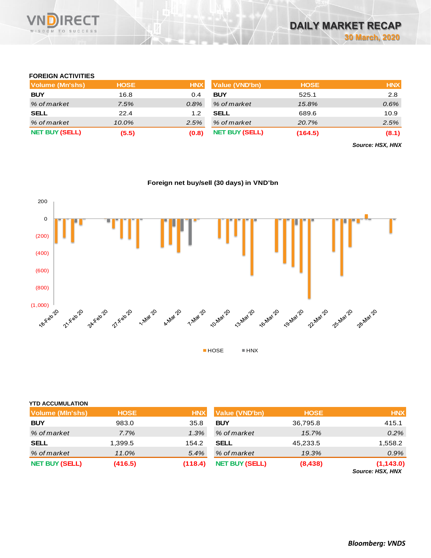

#### **FOREIGN ACTIVITIES**

| Volume (Mn'shs)       | <b>HOSE</b> | <b>HNX</b> | Value (VND'bn)        | <b>HOSE</b> | <b>HNX</b> |
|-----------------------|-------------|------------|-----------------------|-------------|------------|
| <b>BUY</b>            | 16.8        | 0.4        | <b>BUY</b>            | 525.1       | 2.8        |
| % of market           | 7.5%        | $0.8\%$    | % of market           | 15.8%       | 0.6%       |
| <b>SELL</b>           | 22.4        | 1.2        | <b>SELL</b>           | 689.6       | 10.9       |
| % of market           | 10.0%       | 2.5%       | % of market           | 20.7%       | 2.5%       |
| <b>NET BUY (SELL)</b> | (5.5)       | (0.8)      | <b>NET BUY (SELL)</b> | (164.5)     | (8.1)      |

*Source: HSX, HNX*

## **Foreign net buy/sell (30 days) in VND'bn**



## **YTD ACCUMULATION**

| <b>Volume (MIn'shs)</b> | <b>HOSE</b> | <b>HNX</b> | Value (VND'bn)        | <b>HOSE</b> | <b>HNX</b>                     |
|-------------------------|-------------|------------|-----------------------|-------------|--------------------------------|
| <b>BUY</b>              | 983.0       | 35.8       | <b>BUY</b>            | 36,795.8    | 415.1                          |
| % of market             | 7.7%        | 1.3%       | % of market           | 15.7%       | 0.2%                           |
| <b>SELL</b>             | 1,399.5     | 154.2      | <b>SELL</b>           | 45,233.5    | 1,558.2                        |
| % of market             | 11.0%       | 5.4%       | % of market           | 19.3%       | $0.9\%$                        |
| <b>NET BUY (SELL)</b>   | (416.5)     | (118.4)    | <b>NET BUY (SELL)</b> | (8, 438)    | (1, 143.0)<br>Source: HSX, HNX |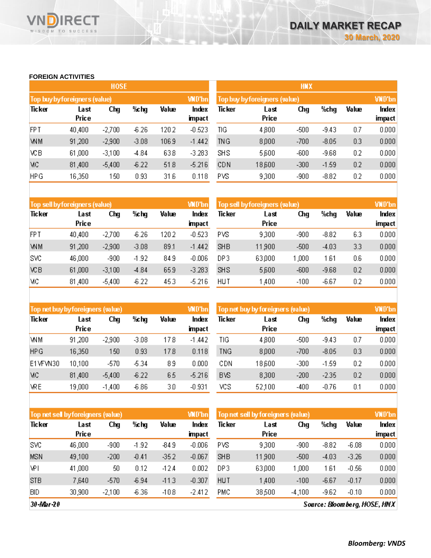#### **FOREIGN ACTIVITIES**

WISDOM TO SUCCESS

RECT

|            |                               | <b>HOSE</b> |         |       |                 | <b>HNX</b>                    |               |        |         |       |                 |  |
|------------|-------------------------------|-------------|---------|-------|-----------------|-------------------------------|---------------|--------|---------|-------|-----------------|--|
|            | Top buy by foreigners (value) |             |         |       | <b>WD'bn</b>    | Top buy by foreigners (value) |               |        |         |       |                 |  |
| Ticker     | Last<br>Price                 | Chg         | %chg    | Value | Index<br>impact | Ticker                        | Last<br>Price | Chg    | %chg    | Value | Index<br>impact |  |
| <b>FPT</b> | 40,400                        | $-2,700$    | $-6.26$ | 1202  | $-0.523$        | TIG                           | 4,800         | $-500$ | $-9.43$ | 0.7   | 0.000           |  |
| <b>WM</b>  | 91,200                        | $-2,900$    | $-3.08$ | 106.9 | $-1.442$        | <b>TNG</b>                    | 8,000         | $-700$ | $-8.05$ | 0.3   | 0.000           |  |
| VСB        | 61,000                        | $-3,100$    | $-4.84$ | 638   | $-3.283$        | <b>SHS</b>                    | 5,600         | $-600$ | $-9.68$ | 0.2   | 0.000           |  |
| MC         | 81,400                        | $-5,400$    | $-6.22$ | 518   | $-5.216$        | CDN                           | 18,600        | $-300$ | $-1.59$ | 0.2   | 0.000           |  |
| <b>HPG</b> | 16,350                        | 150         | 0.93    | 31.6  | 0.118           | <b>PVS</b>                    | 9,300         | $-900$ | $-8.82$ | 0.2   | 0.000           |  |

|            | Top sell by foreigners (value) |          |         |       | <b>WD'bn</b>  | Top sell by foreigners (value) |        | <b>VND'bn</b> |         |       |        |
|------------|--------------------------------|----------|---------|-------|---------------|--------------------------------|--------|---------------|---------|-------|--------|
| Ticker     | Last                           | Chg      | %chg    | Value | Index         | Ticker                         | Last   | Chg           | %chg    | Value | Index  |
|            | Price                          |          |         |       | <b>impact</b> |                                | Price  |               |         |       | impact |
| <b>FPT</b> | 40,400                         | $-2,700$ | $-6.26$ | 1202  | $-0.523$      | PVS.                           | 9,300  | $-900$        | $-8.82$ | 6.3   | 0.000  |
| <b>WM</b>  | 91,200                         | $-2,900$ | $-3.08$ | 89.1  | $-1.442$      | <b>SHB</b>                     | 11,900 | $-500$        | $-4.03$ | 3.3   | 0.000  |
| SVC        | 46,000                         | $-900$   | $-1.92$ | 849   | $-0.006$      | DP3                            | 63,000 | 000, ا        | 1 61    | 0.6   | 0.000  |
| ΧCΒ        | 61,000                         | $-3,100$ | $-4.84$ | 65.9  | $-3.283$      | <b>SHS</b>                     | 5,600  | $-600$        | $-9.68$ | 0.2   | 0.000  |
| МC         | 81,400                         | $-5,400$ | $-6.22$ | 45.3  | $-5.216$      | <b>HUT</b>                     | 1,400  | $-100$        | $-6.67$ | 0.2   | 0.000  |

| Top net buy by foreigners (value) |        |          |         |       | <b>WD'bn</b>  | Top net buy by foreigners (value) | <b>VND'bn</b> |        |         |       |        |
|-----------------------------------|--------|----------|---------|-------|---------------|-----------------------------------|---------------|--------|---------|-------|--------|
| Ticker                            | Last   | Chg      | %chg    | Value | Index         | Ticker                            | Last          | Chg    | %chg    | Value | Index  |
|                                   | Price  |          |         |       | <b>impact</b> |                                   | Price         |        |         |       | impact |
| <b>WM</b>                         | 91,200 | $-2,900$ | $-3.08$ | 178   | $-1.442$      | TIG                               | 4,800         | $-500$ | $-9.43$ | 0.7   | 0.000  |
| <b>HPG</b>                        | 16,350 | 150      | 0.93    | 178   | 0.118         | <b>TNG</b>                        | 8,000         | $-700$ | $-8.05$ | 0.3   | 0.000  |
| E1VFVN30                          | 10,100 | $-570$   | -5.34   | 89    | 0.000         | CDN                               | 18,600        | $-300$ | $-1.59$ | 0.2   | 0.000  |
| MC                                | 81,400 | $-5,400$ | $-6.22$ | 65    | $-5.216$      | <b>BVS</b>                        | 8,300         | $-200$ | $-2.35$ | 0.2   | 0.000  |
| <b>VRE</b>                        | 19,000 | $-1,400$ | $-6.86$ | 3,0   | $-0.931$      | vcs                               | 52,100        | $-400$ | $-0.76$ | 0.1   | 0.000  |

| Top net sel byforeigners (value) |        |          |         |         | <b>WD'bn</b> | Top net sell by foreigners (value) |        | <b>VND'bn</b> |         |         |        |
|----------------------------------|--------|----------|---------|---------|--------------|------------------------------------|--------|---------------|---------|---------|--------|
| Ticker                           | Last   | Chg      | %chg    | Value   | Index        | Ticker                             | Last   | Chg           | %chg    | Value   | Index  |
|                                  | Price  |          |         |         | impact       |                                    | Price  |               |         |         | impact |
| SVC                              | 46,000 | $-900$   | $-1.92$ | -84.9   | $-0.006$     | PVS                                | 9,300  | $-900$        | $-8.82$ | $-6.08$ | 0.000  |
| <b>MSN</b>                       | 49,100 | $-200$   | $-0.41$ | $-352$  | $-0.067$     | <b>SHB</b>                         | 11,900 | $-500$        | $-4.03$ | $-3.26$ | 0.000  |
| <b>VPI</b>                       | 41,000 | 50       | 0.12    | $-12.4$ | 0.002        | DP3                                | 63,000 | 1 .000        | 1 61    | $-0.56$ | 0.000  |
| <b>STB</b>                       | 7,640  | $-570$   | $-6.94$ | $-113$  | $-0.307$     | <b>HUT</b>                         | 1,400  | $-100$        | $-6.67$ | $-0.17$ | 0.000  |
| <b>BID</b>                       | 30,900 | $-2,100$ | $-6.36$ | $-108$  | -2.412       | PMC                                | 38,500 | $-4,100$      | $-9.62$ | $-0.10$ | 0.000  |

 $30 -$ Mar-20

Source: Bloom berg, HOSE, HNX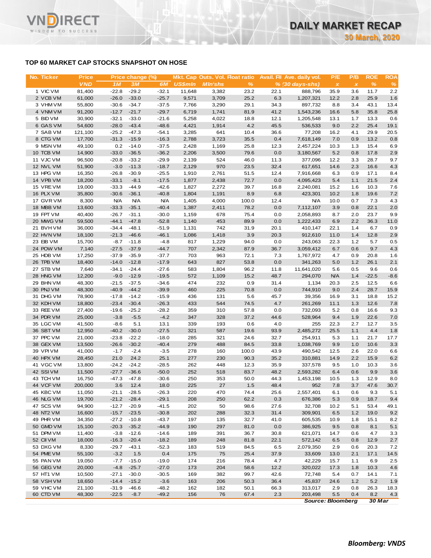## **TOP 60 MARKET CAP STOCKS SNAPSHOT ON HOSE**

**RECT** 

WISDOM TO SUCCESS

**VN** 

| No. Ticker             | <b>Price</b>     |                    | Price change (%)   |                    |                | Mkt. Cap Outs. Vol. Float ratio |              |              | Avail. Fil Ave. daily vol. | P/E                                    | P/B          | <b>ROE</b>   | <b>ROA</b>  |
|------------------------|------------------|--------------------|--------------------|--------------------|----------------|---------------------------------|--------------|--------------|----------------------------|----------------------------------------|--------------|--------------|-------------|
|                        | <b>VND</b>       | 1 <sub>M</sub>     | 3M                 | 6M                 | <b>US\$mln</b> | <b>MIn'shs</b>                  | $\%$         |              | $% (30 days-shs)$          | $\pmb{\times}$                         | $\pmb{\chi}$ | $\%$         | %           |
| 1 VIC VM               | 81,400           | $-22.8$            | $-29.2$            | $-32.1$            | 11,648         | 3,382                           | 23.2         | 22.1         | 888.796                    | 35.9                                   | 3.6          | 11.7         | 2.2         |
| 2 VCB VM               | 61,000           | $-26.0$            | $-33.0$            | $-25.7$            | 9,571          | 3,709                           | 25.2         | 6.3          | 1,207,321                  | 12.2                                   | 2.8          | 25.9         | 1.6         |
| 3 VHM VM               | 55,800           | $-30.6$            | $-34.7$            | $-37.5$            | 7,766          | 3,290                           | 29.1         | 34.3         | 897,732                    | 8.8                                    | 3.4          | 43.1         | 13.4        |
| 4 VNM VM               | 91,200           | $-12.7$            | $-21.7$            | $-29.7$            | 6,719          | 1,741                           | 81.9         | 41.2         | 1,543,236                  | 16.6                                   | 5.8          | 35.8         | 25.8        |
| 5 BID VM               | 30,900           | $-32.1$            | $-33.0$            | $-21.6$            | 5,258          | 4,022                           | 18.8         | 12.1         | 1,205,548                  | 13.1                                   | 1.7          | 13.3         | 0.6         |
| 6 GAS VM               | 54,600           | $-28.0$            | $-43.4$            | $-48.6$            | 4,421          | 1,914                           | 4.2          | 45.5         | 536,533                    | 9.0                                    | 2.2          | 25.4         | 19.1        |
| 7 SAB VM               | 121,100          | $-25.2$            | $-47.3$            | $-54.1$            | 3,285          | 641                             | 10.4         | 36.6         | 77,208                     | 16.2                                   | 4.1          | 29.9         | 20.5        |
| 8 CTG VM               | 17,700           | $-31.3$            | $-15.9$            | $-16.3$            | 2,788          | 3,723                           | 35.5         | 0.4          | 7,618,149                  | 7.0                                    | 0.9          | 13.2         | 0.8         |
| 9 MSN VM               | 49,100           | 0.2                | $-14.0$            | $-37.5$            | 2,428          | 1,169                           | 25.8         | 12.3         | 2,457,224                  | 10.3                                   | 1.3          | 15.4         | 6.9         |
| 10 TCB VM              | 14,900           | $-33.0$            | $-36.5$            | $-36.2$            | 2,206          | 3,500                           | 79.6         | 0.0          | 3,180,567                  | 5.2                                    | 0.8          | 17.8         | 2.9         |
| 11 VJC VM<br>12 NVL VM | 96,500<br>51,900 | $-20.8$<br>$-3.0$  | $-33.2$<br>$-11.3$ | $-29.9$<br>$-18.7$ | 2,139<br>2,129 | 524<br>970                      | 46.0<br>23.5 | 11.3<br>32.4 | 377,096<br>617,651         | 12.2<br>14.6                           | 3.3<br>2.3   | 28.7<br>16.6 | 9.7<br>4.3  |
| 13 HPG VM              | 16,350           | $-26.8$            | $-30.9$            | $-25.5$            | 1,910          | 2,761                           | 51.5         | 12.4         | 7,916,668                  | 6.3                                    | 0.9          | 17.1         | 8.4         |
| 14 VPB VM              | 18,200           | $-33.1$            | $-8.1$             | $-17.5$            | 1,877          | 2,438                           | 72.7         | 0.0          | 4,095,423                  | 5.4                                    | 1.1          | 21.5         | 2.4         |
| 15 VREVM               | 19,000           | $-33.3$            | $-44.9$            | $-42.6$            | 1,827          | 2,272                           | 39.7         | 16.8         | 2,240,081                  | 15.2                                   | 1.6          | 10.3         | 7.6         |
| 16 PLX VM              | 35,800           | $-30.6$            | $-36.1$            | $-40.8$            | 1,804          | 1,191                           | 8.9          | 6.8          | 423,301                    | 10.2                                   | 1.8          | 19.6         | 7.2         |
| 17 GVR VM              | 8,300            | <b>N/A</b>         | <b>N/A</b>         | <b>N/A</b>         | 1,405          | 4,000                           | 100.0        | 12.4         | <b>N/A</b>                 | 10.0                                   | 0.7          | 7.3          | 4.3         |
| 18 MBB VM              | 13,600           | $-33.3$            | $-35.1$            | $-40.4$            | 1,387          | 2,411                           | 78.2         | 0.0          | 7,112,107                  | 3.9                                    | 0.8          | 22.1         | 2.0         |
| 19 FPT VM              | 40,400           | $-26.7$            | $-31.1$            | $-30.0$            | 1,159          | 678                             | 75.4         | 0.0          | 2,058,893                  | 8.7                                    | 2.0          | 23.7         | 9.9         |
| 20 MWG VM              | 59,500           | $-44.1$            | $-47.8$            | $-52.8$            | 1,140          | 453                             | 89.9         | 0.0          | 1,222,433                  | 6.9                                    | 2.2          | 36.3         | 11.0        |
| 21 BVHVM               | 36,000           | $-34.4$            | $-48.1$            | $-51.9$            | 1,131          | 742                             | 31.9         | 20.1         | 410,147                    | 22.1                                   | 1.4          | 6.7          | 0.9         |
| 22 HVN VM              | 18,100           | $-21.3$            | $-46.6$            | $-46.1$            | 1,086          | 1,418                           | 3.9          | 20.3         | 912,610                    | 11.0                                   | 1.4          | 12.8         | 2.9         |
| 23 EIB VM              | 15,700           | $-8.7$             | $-11.8$            | $-4.8$             | 817            | 1,229                           | 94.0         | 0.0          | 243,063                    | 22.3                                   | 1.2          | 5.7          | 0.5         |
| 24 POW VM              | 7,140            | $-27.5$            | $-37.9$            | $-44.7$            | 707            | 2,342                           | 87.9         | 36.7         | 3,059,412                  | 6.7                                    | 0.6          | 9.7          | 4.3         |
| 25 HDB VM              | 17,250           | $-37.9$            | $-35.9$            | $-37.7$            | 703            | 963                             | 72.1         | 7.3          | 1,767,972                  | 4.7                                    | 0.9          | 20.8         | 1.6         |
| 26 TPB VM              | 18,400           | $-14.0$            | $-12.8$            | $-17.9$            | 643            | 827                             | 53.8         | 0.0          | 341,263                    | 5.0                                    | 1.2          | 26.1         | 2.1         |
| 27 STB VM              | 7,640            | $-34.1$            | $-24.4$            | $-27.6$            | 583            | 1,804                           | 96.2         | 11.8         | 11,641,020                 | 5.6                                    | 0.5          | 9.6          | 0.6         |
| 28 HNG VM              | 12,200           | $-9.0$             | $-12.9$            | $-19.5$            | 572            | 1,109                           | 15.2         | 48.7         | 294,070                    | <b>N/A</b>                             | 1.4          | $-22.5$      | $-8.6$      |
| 29 BHN VM              | 48,300           | $-21.5$            | $-37.5$            | $-34.6$            | 474            | 232                             | 0.9          | 31.4         | 1,134                      | 20.3                                   | 2.5          | 12.5         | 6.6         |
| 30 PNJ VM              | 48,300           | $-40.9$            | $-44.2$            | $-39.9$            | 460            | 225                             | 70.8         | 0.0          | 744,910                    | 9.0                                    | 2.4          | 28.7         | 15.9        |
| 31 DHG VM              | 78,900           | $-17.8$            | $-14.2$            | $-15.9$            | 436            | 131                             | 5.6          | 45.7         | 39,356                     | 16.9                                   | 3.1          | 18.8         | 15.2        |
| 32 KDH VM              | 18,800           | $-23.4$            | $-30.4$            | $-26.3$            | 433            | 544                             | 74.5         | 4.7          | 261,269                    | 11.1                                   | 1.3          | 12.6         | 7.8         |
| 33 REE VM              | 27,400           | $-19.6$            | $-25.2$            | $-28.2$            | 359            | 310                             | 57.8         | 0.0          | 732,093                    | 5.2                                    | 0.8          | 16.6         | 9.3         |
| 34 PDR VM<br>35 LGC VM | 25,000<br>41,500 | $-3.8$<br>$-8.6$   | $-5.5$<br>5.1      | $-4.2$<br>13.1     | 347<br>339     | 328<br>193                      | 37.2<br>0.6  | 44.6         | 528,964<br>255             | 9.4<br>22.3                            | 1.9<br>2.7   | 22.6<br>12.7 | 7.0         |
| 36 SBT VM              | 12,950           | $-40.2$            | $-30.0$            | $-27.5$            | 321            | 587                             | 19.6         | 4.0<br>93.9  | 2,485,272                  | 25.5                                   | 1.1          | 4.4          | 3.5<br>1.8  |
| 37 PPC VM              | 21,000           | $-23.8$            | $-22.2$            | $-18.0$            | 285            | 321                             | 24.6         | 32.7         | 254,911                    | 5.3                                    | 1.1          | 21.7         | 17.7        |
| 38 GEX VM              | 13,500           | $-26.6$            | $-30.2$            | $-40.4$            | 279            | 488                             | 84.5         | 33.8         | 1,038,769                  | 9.9                                    | 1.0          | 10.6         | 3.3         |
| 39 VPI VM              | 41,000           | $-1.7$             | $-2.4$             | $-3.5$             | 278            | 160                             | 100.0        | 43.9         | 490,542                    | 12.5                                   | 2.6          | 22.0         | 6.6         |
| 40 HPX VM              | 28,450           | 21.0               | 24.2               | 25.1               | 277            | 230                             | 90.3         | 35.2         | 310,881                    | 14.9                                   | 2.2          | 15.9         | 6.2         |
| 41 VGC VM              | 13,800           |                    | $-24.2 -24.2$      | $-28.5$            | 262            | 448                             | 12.3         | 35.9         | 337,578                    | 9.5                                    | 1.0          | 10.3         | 3.6         |
| 42 SSIVM               | 11,500           | $-27.7$            | $-36.6$            | $-50.0$            | 252            | 518                             | 83.7         | 48.2         | 2,593,282                  | 6.4                                    | 0.6          | 9.9          | 3.6         |
| 43 TCH VM              | 16,750           | $-47.3$            | $-47.8$            | $-30.6$            | 250            | 353                             | 50.0         | 44.3         | 1,453,198                  | 10.5                                   | 1.3          | 12.9         | 8.0         |
| 44 VCF VM              | 200,000          | 3.6                | 12.4               | 18.0               | 225            | 27                              | 1.5          | 48.4         | 952                        | 7.8                                    | 3.7          | 47.6         | 30.7        |
| 45 KBC VM              | 11,050           | $-21.1$            | $-28.5$            | $-26.3$            | 220            | 470                             | 74.4         | 25.6         | 2,557,401                  | 6.1                                    | 0.6          | 9.3          | 5.1         |
| 46 NLG VM              | 19,700           | $-21.2$            | $-28.4$            | $-29.1$            | 208            | 250                             | 62.2         | 0.3          | 676,386                    | 5.3                                    | 0.9          | 18.7         | 9.4         |
| 47 SCS VM              | 94,900           | $-12.7$            | $-20.9$            | $-41.5$            | 202            | 50                              | 98.6         | 27.6         | 32,708                     | 10.2                                   | 5.1          | 53.4         | 49.1        |
| 48 NT2 VM              | 16,600           | $-15.7$            | $-23.5$            | $-30.8$            | 202            | 288                             | 32.3         | 31.4         | 309,901                    | 6.5                                    | 1.2          | 19.0         | 9.2         |
| 49 PHR VM              | 34,350           | $-27.2$            | $-10.8$            | $-43.7$            | 197            | 135                             | 32.7         | 41.0         | 605,535                    | 10.9                                   | 1.8          | 15.1         | 8.2         |
| 50 GMD VM              | 15,100           | $-20.3$            | $-35.2$            | $-44.9$            | 190            | 297                             | 81.0         | 0.0          | 386,925                    | 9.5                                    | 0.8          | 8.1          | 5.1         |
| 51 DPM VM              | 11,400           | $-3.8$             | $-12.6$            | $-14.6$            | 189            | 391                             | 36.7         | 30.8         | 621,071                    | 14.7                                   | 0.6          | 4.7          | 3.3         |
| 52 CII VM              | 18,000           | $-16.3$            | $-20.4$            | $-18.2$            | 189            | 248                             | 81.8         | 22.1         | 572,142                    | 6.5                                    | 0.8          | 12.9         | 2.7         |
| 53 DXG VM              | 8,330            | $-29.7$            | $-43.1$            | $-52.3$            | 183            | 519                             | 84.5         | 6.5          | 2,079,350                  | 2.9                                    | 0.6          | 20.3         | 7.2         |
| 54 PME VM              | 55,100           | $-3.2$             | 1.5                | 0.4                | 175            | 75                              | 25.4         | 37.9         | 33,609                     | 13.0                                   | 2.1          | 17.1         | 14.5        |
| 55 PAN VM              | 19,050           | $-7.7$             | $-15.0$            | $-19.0$            | 174            | 216                             | 78.4         | 4.7          | 42,229                     | 15.7                                   | 1.1          | 6.9          | 2.5         |
| 56 GEG VM              | 20,000           | $-4.8$             | $-25.7$            | $-27.0$            | 173            | 204                             | 58.6         | 12.2         | 320,022                    | 17.3                                   | 1.8          | 10.3         | 4.6         |
| 57 HT1 VM              | 10,500           | $-27.1$            | $-30.0$            | $-30.5$            | 169            | 382                             | 99.7         | 42.6         | 72,748                     | 5.4                                    | 0.7          | 14.1         | 7.1         |
| 58 VSHVM               | 18,650           | $-14.4$            | $-15.2$            | $-3.6$             | 163            | 206                             | 50.3         | 36.4         | 45,837                     | 24.6                                   | 1.2          | 5.2          | 1.9         |
| 59 VHC VM<br>60 CTD VM | 21,100<br>48,300 | $-31.9$<br>$-22.5$ | $-46.6$<br>$-8.7$  | $-48.2$<br>$-49.2$ | 162<br>156     | 182<br>76                       | 50.1<br>67.4 | 66.3<br>2.3  | 313,017<br>203,498         | 2.9                                    | 0.8          | 26.3<br>8.2  | 18.3<br>4.3 |
|                        |                  |                    |                    |                    |                |                                 |              |              |                            | 5.5<br>0.4<br><b>Source: Bloomberg</b> |              |              |             |